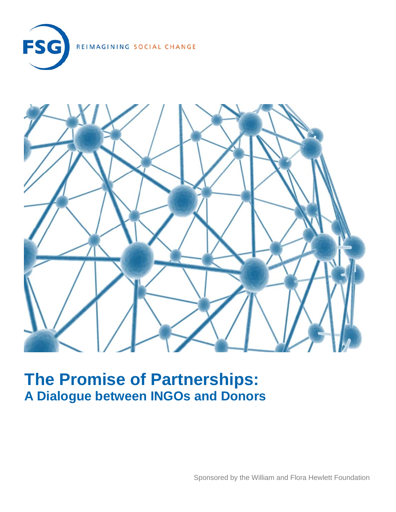

REIMAGINING SOCIAL CHANGE



# **The Promise of Partnerships: A Dialogue between INGOs and Donors**

Sponsored by the William and Flora Hewlett Foundation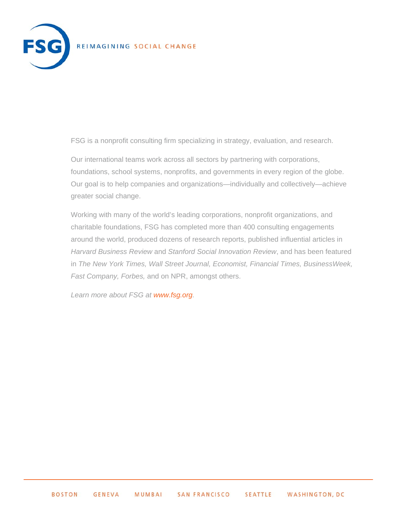

### REIMAGINING SOCIAL CHANGE

FSG is a nonprofit consulting firm specializing in strategy, evaluation, and research.

Our international teams work across all sectors by partnering with corporations, foundations, school systems, nonprofits, and governments in every region of the globe. Our goal is to help companies and organizations—individually and collectively—achieve greater social change.

Working with many of the world's leading corporations, nonprofit organizations, and charitable foundations, FSG has completed more than 400 consulting engagements around the world, produced dozens of research reports, published influential articles in *Harvard Business Review* and *Stanford Social Innovation Review*, and has been featured in *The New York Times, Wall Street Journal, Economist, Financial Times, BusinessWeek, Fast Company, Forbes,* and on NPR, amongst others.

*Learn more about FSG at www.fsg.org.*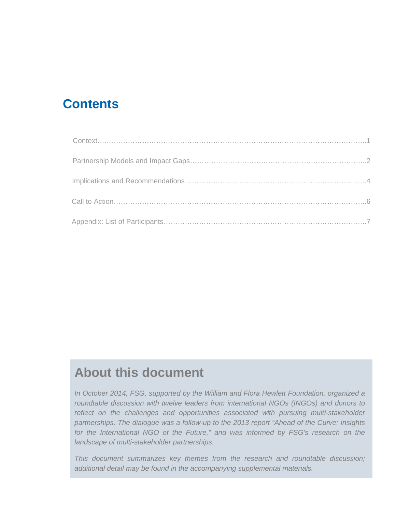## **Contents**

# **About this document**

*In October 2014, FSG, supported by the William and Flora Hewlett Foundation, organized a roundtable discussion with twelve leaders from international NGOs (INGOs) and donors to reflect on the challenges and opportunities associated with pursuing multi-stakeholder partnerships. The dialogue was a follow-up to the 2013 report "Ahead of the Curve: Insights for the International NGO of the Future," and was informed by FSG's research on the landscape of multi-stakeholder partnerships.* 

*This document summarizes key themes from the research and roundtable discussion; additional detail may be found in the accompanying supplemental materials.*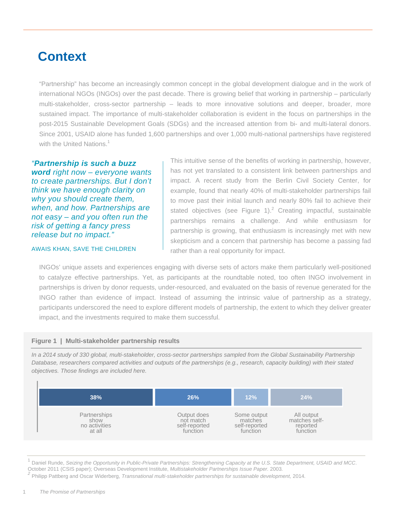# **Context**

"Partnership" has become an increasingly common concept in the global development dialogue and in the work of international NGOs (INGOs) over the past decade. There is growing belief that working in partnership – particularly multi-stakeholder, cross-sector partnership – leads to more innovative solutions and deeper, broader, more sustained impact. The importance of multi-stakeholder collaboration is evident in the focus on partnerships in the post-2015 Sustainable Development Goals (SDGs) and the increased attention from bi- and multi-lateral donors. Since 2001, USAID alone has funded 1,600 partnerships and over 1,000 multi-national partnerships have registered with the United Nations. $1$ 

*"Partnership is such a buzz word right now – everyone wants to create partnerships. But I don't think we have enough clarity on why you should create them, when, and how. Partnerships are not easy – and you often run the risk of getting a fancy press release but no impact."* 

#### AWAIS KHAN, SAVE THE CHILDREN

This intuitive sense of the benefits of working in partnership, however, has not yet translated to a consistent link between partnerships and impact. A recent study from the Berlin Civil Society Center, for example, found that nearly 40% of multi-stakeholder partnerships fail to move past their initial launch and nearly 80% fail to achieve their stated objectives (see Figure 1). $^2$  Creating impactful, sustainable partnerships remains a challenge. And while enthusiasm for partnership is growing, that enthusiasm is increasingly met with new skepticism and a concern that partnership has become a passing fad rather than a real opportunity for impact.

INGOs' unique assets and experiences engaging with diverse sets of actors make them particularly well-positioned to catalyze effective partnerships. Yet, as participants at the roundtable noted, too often INGO involvement in partnerships is driven by donor requests, under-resourced, and evaluated on the basis of revenue generated for the INGO rather than evidence of impact. Instead of assuming the intrinsic value of partnership as a strategy, participants underscored the need to explore different models of partnership, the extent to which they deliver greater impact, and the investments required to make them successful.

#### **Figure 1 | Multi-stakeholder partnership results**

*In a 2014 study of 330 global, multi-stakeholder, cross-sector partnerships sampled from the Global Sustainability Partnership Database, researchers compared activities and outputs of the partnerships (e.g., research, capacity building) with their stated objectives. Those findings are included here.* 



<sup>1</sup> Daniel Runde, *Seizing the Opportunity in Public-Private Partnerships: Strengthening Capacity at the U.S. State Department, USAID and MCC.<br>October 2011 (CSIS paper); Overseas Development Institute, <i>Multistakeholder Pa* 

<sup>2</sup> Philipp Pattberg and Oscar Widerberg, Transnational multi-stakeholder partnerships for sustainable development, 2014.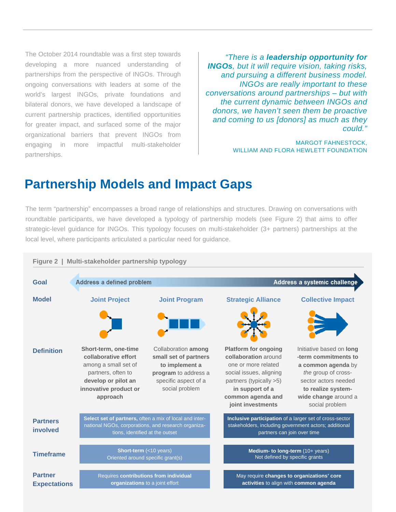The October 2014 roundtable was a first step towards developing a more nuanced understanding of partnerships from the perspective of INGOs. Through ongoing conversations with leaders at some of the world's largest INGOs, private foundations and bilateral donors, we have developed a landscape of current partnership practices, identified opportunities for greater impact, and surfaced some of the major organizational barriers that prevent INGOs from engaging in more impactful multi-stakeholder partnerships.

*"There is a leadership opportunity for INGOs, but it will require vision, taking risks, and pursuing a different business model. INGOs are really important to these conversations around partnerships – but with the current dynamic between INGOs and donors, we haven't seen them be proactive and coming to us [donors] as much as they could."* 

> MARGOT FAHNESTOCK, WILLIAM AND FLORA HEWLETT FOUNDATION

### **Partnership Models and Impact Gaps**

The term "partnership" encompasses a broad range of relationships and structures. Drawing on conversations with roundtable participants, we have developed a typology of partnership models (see Figure 2) that aims to offer strategic-level guidance for INGOs. This typology focuses on multi-stakeholder (3+ partners) partnerships at the local level, where participants articulated a particular need for guidance.

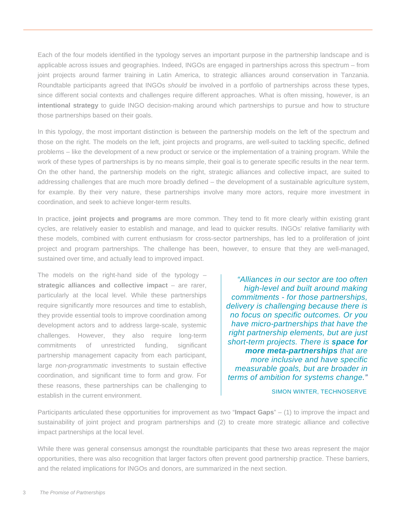Each of the four models identified in the typology serves an important purpose in the partnership landscape and is applicable across issues and geographies. Indeed, INGOs are engaged in partnerships across this spectrum – from joint projects around farmer training in Latin America, to strategic alliances around conservation in Tanzania. Roundtable participants agreed that INGOs *should* be involved in a portfolio of partnerships across these types, since different social contexts and challenges require different approaches. What is often missing, however, is an **intentional strategy** to guide INGO decision-making around which partnerships to pursue and how to structure those partnerships based on their goals.

In this typology, the most important distinction is between the partnership models on the left of the spectrum and those on the right. The models on the left, joint projects and programs, are well-suited to tackling specific, defined problems – like the development of a new product or service or the implementation of a training program. While the work of these types of partnerships is by no means simple, their goal is to generate specific results in the near term. On the other hand, the partnership models on the right, strategic alliances and collective impact, are suited to addressing challenges that are much more broadly defined – the development of a sustainable agriculture system, for example. By their very nature, these partnerships involve many more actors, require more investment in coordination, and seek to achieve longer-term results.

In practice, **joint projects and programs** are more common. They tend to fit more clearly within existing grant cycles, are relatively easier to establish and manage, and lead to quicker results. INGOs' relative familiarity with these models, combined with current enthusiasm for cross-sector partnerships, has led to a proliferation of joint project and program partnerships. The challenge has been, however, to ensure that they are well-managed, sustained over time, and actually lead to improved impact.

The models on the right-hand side of the typology  $$ **strategic alliances and collective impact** – are rarer, particularly at the local level. While these partnerships require significantly more resources and time to establish, they provide essential tools to improve coordination among development actors and to address large-scale, systemic challenges. However, they also require long-term commitments of unrestricted funding, significant partnership management capacity from each participant, large *non-programmatic* investments to sustain effective coordination, and significant time to form and grow. For these reasons, these partnerships can be challenging to establish in the current environment.

*"Alliances in our sector are too often high-level and built around making commitments - for those partnerships, delivery is challenging because there is no focus on specific outcomes. Or you have micro-partnerships that have the right partnership elements, but are just short-term projects. There is space for more meta-partnerships that are more inclusive and have specific measurable goals, but are broader in terms of ambition for systems change."*

SIMON WINTER, TECHNOSERVE

Participants articulated these opportunities for improvement as two "**Impact Gaps**" – (1) to improve the impact and sustainability of joint project and program partnerships and (2) to create more strategic alliance and collective impact partnerships at the local level.

While there was general consensus amongst the roundtable participants that these two areas represent the major opportunities, there was also recognition that larger factors often prevent good partnership practice. These barriers, and the related implications for INGOs and donors, are summarized in the next section.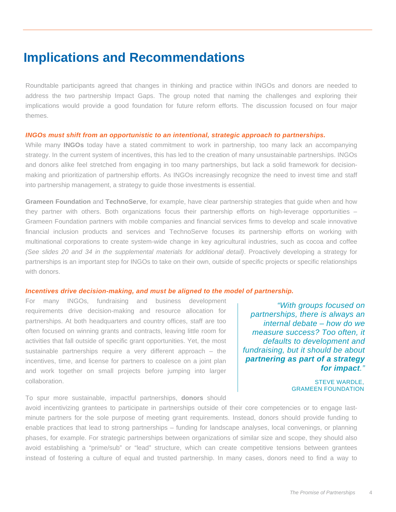### **Implications and Recommendations**

Roundtable participants agreed that changes in thinking and practice within INGOs and donors are needed to address the two partnership Impact Gaps. The group noted that naming the challenges and exploring their implications would provide a good foundation for future reform efforts. The discussion focused on four major themes.

#### *INGOs must shift from an opportunistic to an intentional, strategic approach to partnerships.*

While many **INGOs** today have a stated commitment to work in partnership, too many lack an accompanying strategy. In the current system of incentives, this has led to the creation of many unsustainable partnerships. INGOs and donors alike feel stretched from engaging in too many partnerships, but lack a solid framework for decisionmaking and prioritization of partnership efforts. As INGOs increasingly recognize the need to invest time and staff into partnership management, a strategy to guide those investments is essential.

**Grameen Foundation** and **TechnoServe**, for example, have clear partnership strategies that guide when and how they partner with others. Both organizations focus their partnership efforts on high-leverage opportunities – Grameen Foundation partners with mobile companies and financial services firms to develop and scale innovative financial inclusion products and services and TechnoServe focuses its partnership efforts on working with multinational corporations to create system-wide change in key agricultural industries, such as cocoa and coffee *(See slides 20 and 34 in the supplemental materials for additional detail)*. Proactively developing a strategy for partnerships is an important step for INGOs to take on their own, outside of specific projects or specific relationships with donors.

#### *Incentives drive decision-making, and must be aligned to the model of partnership.*

For many INGOs, fundraising and business development requirements drive decision-making and resource allocation for partnerships. At both headquarters and country offices, staff are too often focused on winning grants and contracts, leaving little room for activities that fall outside of specific grant opportunities. Yet, the most sustainable partnerships require a very different approach – the incentives, time, and license for partners to coalesce on a joint plan and work together on small projects before jumping into larger collaboration.

To spur more sustainable, impactful partnerships, **donors** should

 *"With groups focused on partnerships, there is always an internal debate – how do we measure success? Too often, it defaults to development and fundraising, but it should be about partnering as part of a strategy for impact."* 

> STEVE WARDLE, GRAMEEN FOUNDATION

avoid incentivizing grantees to participate in partnerships outside of their core competencies or to engage lastminute partners for the sole purpose of meeting grant requirements. Instead, donors should provide funding to enable practices that lead to strong partnerships – funding for landscape analyses, local convenings, or planning phases, for example. For strategic partnerships between organizations of similar size and scope, they should also avoid establishing a "prime/sub" or "lead" structure, which can create competitive tensions between grantees instead of fostering a culture of equal and trusted partnership. In many cases, donors need to find a way to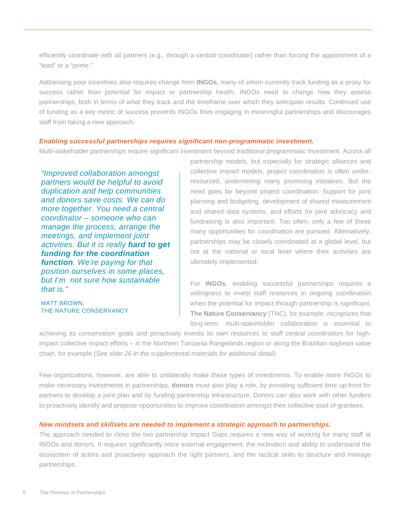efficiently coordinate with all partners (e.g., through a central coordinator) rather than forcing the appointment of a "lead" or a "prime."

Addressing poor incentives also requires change from **INGOs**, many of whom currently track funding as a proxy for success rather than potential for impact or partnership health. INGOs need to change how they assess partnerships, both in terms of what they track and the timeframe over which they anticipate results. Continued use of funding as a key metric of success prevents INGOs from engaging in meaningful partnerships and discourages staff from taking a new approach.

#### *Enabling successful partnerships requires significant non-programmatic investment.*

Multi-stakeholder partnerships require significant investment beyond traditional programmatic investment. Across all

*"Improved collaboration amongst partners would be helpful to avoid duplication and help communities and donors save costs. We can do more together. You need a central coordinator – someone who can manage the process, arrange the meetings, and implement joint activities. But it is really hard to get funding for the coordination function. We're paying for that position ourselves in some places, but I'm not sure how sustainable that is."* 

MATT BROWN, THE NATURE CONSERVANCY

partnership models, but especially for strategic alliances and collective impact models, project coordination is often underresourced, undermining many promising initiatives. But the need goes far beyond project coordination. Support for joint planning and budgeting, development of shared measurement and shared data systems, and efforts for joint advocacy and fundraising is also important. Too often, only a few of these many opportunities for coordination are pursued. Alternatively, partnerships may be closely coordinated at a global level, but not at the national or local level where their activities are ultimately implemented.

For **INGOs**, enabling successful partnerships requires a willingness to invest staff resources in ongoing coordination when the potential for impact through partnership is significant. **The Nature Conservancy** (TNC), for example, recognizes that long-term, multi-stakeholder collaboration is essential to

achieving its conservation goals and proactively invests its own resources to staff central coordinators for highimpact collective impact efforts – in the Northern Tanzania Rangelands region or along the Brazilian soybean value chain, for example *(See slide 26 in the supplemental materials for additional detail).*

Few organizations, however, are able to unilaterally make these types of investments. To enable more INGOs to make necessary investments in partnerships, **donors** must also play a role, by providing sufficient time up-front for partners to develop a joint plan and by funding partnership infrastructure. Donors can also work with other funders to proactively identify and propose opportunities to improve coordination amongst their collective pool of grantees.

#### *New mindsets and skillsets are needed to implement a strategic approach to partnerships.*

The approach needed to close the two partnership Impact Gaps requires a new way of working for many staff at INGOs and donors. It requires significantly more external engagement, the inclination and ability to understand the ecosystem of actors and proactively approach the right partners, and the tactical skills to structure and manage partnerships.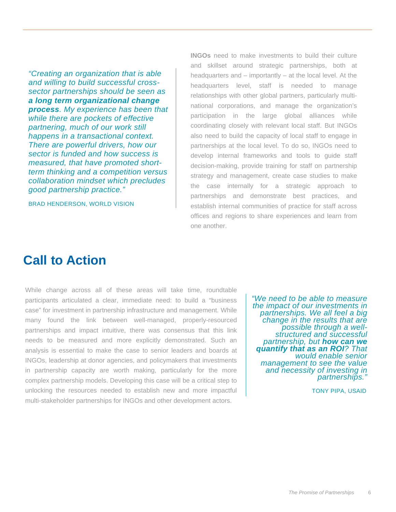*"Creating an organization that is able and willing to build successful crosssector partnerships should be seen as a long term organizational change process. My experience has been that while there are pockets of effective partnering, much of our work still happens in a transactional context. There are powerful drivers, how our sector is funded and how success is measured, that have promoted shortterm thinking and a competition versus collaboration mindset which precludes good partnership practice."* 

BRAD HENDERSON, WORLD VISION

**INGOs** need to make investments to build their culture and skillset around strategic partnerships, both at headquarters and – importantly – at the local level. At the headquarters level, staff is needed to manage relationships with other global partners, particularly multinational corporations, and manage the organization's participation in the large global alliances while coordinating closely with relevant local staff. But INGOs also need to build the capacity of local staff to engage in partnerships at the local level. To do so, INGOs need to develop internal frameworks and tools to guide staff decision-making, provide training for staff on partnership strategy and management, create case studies to make the case internally for a strategic approach to partnerships and demonstrate best practices, and establish internal communities of practice for staff across offices and regions to share experiences and learn from one another.

### **Call to Action**

While change across all of these areas will take time, roundtable participants articulated a clear, immediate need: to build a "business case" for investment in partnership infrastructure and management. While many found the link between well-managed, properly-resourced partnerships and impact intuitive, there was consensus that this link needs to be measured and more explicitly demonstrated. Such an analysis is essential to make the case to senior leaders and boards at INGOs, leadership at donor agencies, and policymakers that investments in partnership capacity are worth making, particularly for the more complex partnership models. Developing this case will be a critical step to unlocking the resources needed to establish new and more impactful multi-stakeholder partnerships for INGOs and other development actors.

*"We need to be able to measure the impact of our investments in partnerships. We all feel a big change in the results that are possible through a wellstructured and successful partnership, but how can we quantify that as an ROI? That would enable senior management to see the value and necessity of investing in partnerships."*

TONY PIPA, USAID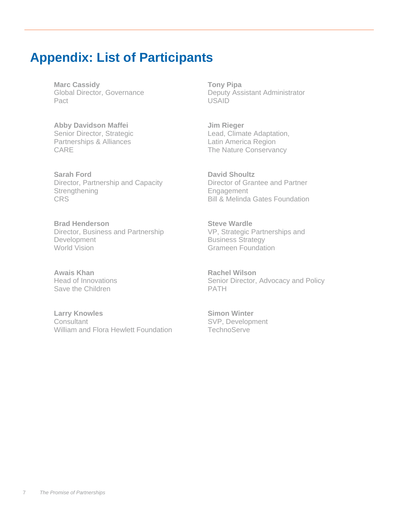### **Appendix: List of Participants**

**Marc Cassidy** Global Director, Governance Pact

**Abby Davidson Maffei**  Senior Director, Strategic Partnerships & Alliances CARE

**Sarah Ford**  Director, Partnership and Capacity **Strengthening CRS** 

**Brad Henderson** Director, Business and Partnership **Development** World Vision

**Awais Khan** Head of Innovations Save the Children

**Larry Knowles Consultant** William and Flora Hewlett Foundation

**Tony Pipa**  Deputy Assistant Administrator USAID

**Jim Rieger**  Lead, Climate Adaptation, Latin America Region The Nature Conservancy

**David Shoultz**  Director of Grantee and Partner Engagement Bill & Melinda Gates Foundation

**Steve Wardle**  VP, Strategic Partnerships and Business Strategy Grameen Foundation

**Rachel Wilson**  Senior Director, Advocacy and Policy PATH

**Simon Winter** SVP, Development **TechnoServe**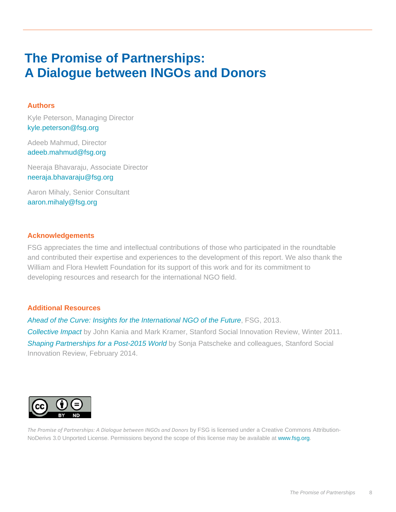# **The Promise of Partnerships: A Dialogue between INGOs and Donors**

### **Authors**

Kyle Peterson, Managing Director kyle.peterson@fsg.org

Adeeb Mahmud, Director adeeb.mahmud@fsg.org

Neeraja Bhavaraju, Associate Director neeraja.bhavaraju@fsg.org

Aaron Mihaly, Senior Consultant aaron.mihaly@fsg.org

### **Acknowledgements**

FSG appreciates the time and intellectual contributions of those who participated in the roundtable and contributed their expertise and experiences to the development of this report. We also thank the William and Flora Hewlett Foundation for its support of this work and for its commitment to developing resources and research for the international NGO field.

### **Additional Resources**

*Ahead of the Curve: Insights for the International NGO of the Future*, FSG, 2013.

*Collective Impact* by John Kania and Mark Kramer, Stanford Social Innovation Review, Winter 2011. *Shaping Partnerships for a Post-2015 World* by Sonja Patscheke and colleagues, Stanford Social Innovation Review, February 2014.



*The Promise of Partnerships: A Dialogue between INGOs and Donors* by FSG is licensed under a Creative Commons Attribution-NoDerivs 3.0 Unported License. Permissions beyond the scope of this license may be available at www.fsg.org.